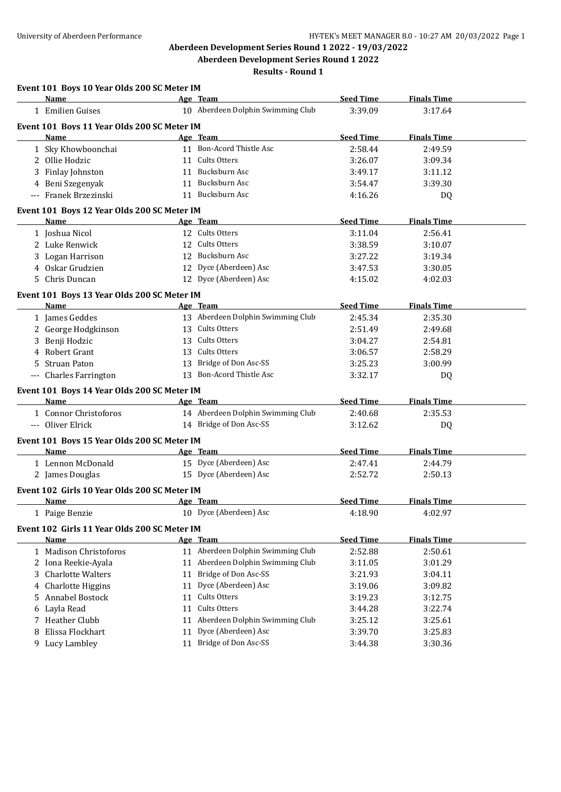**Results - Round 1**

|    | Event 101 Boys 10 Year Olds 200 SC Meter IM  |    |                                   |                  |                    |  |
|----|----------------------------------------------|----|-----------------------------------|------------------|--------------------|--|
|    | Name                                         |    | Age Team                          | <b>Seed Time</b> | <b>Finals Time</b> |  |
|    | 1 Emilien Guises                             |    | 10 Aberdeen Dolphin Swimming Club | 3:39.09          | 3:17.64            |  |
|    | Event 101 Boys 11 Year Olds 200 SC Meter IM  |    |                                   |                  |                    |  |
|    | <b>Name</b>                                  |    | Age Team                          | <b>Seed Time</b> | <b>Finals Time</b> |  |
|    | 1 Sky Khowboonchai                           |    | 11 Bon-Acord Thistle Asc          | 2:58.44          | 2:49.59            |  |
|    | 2 Ollie Hodzic                               |    | 11 Cults Otters                   | 3:26.07          | 3:09.34            |  |
| 3  | Finlay Johnston                              |    | 11 Bucksburn Asc                  | 3:49.17          | 3:11.12            |  |
|    | 4 Beni Szegenyak                             |    | 11 Bucksburn Asc                  | 3:54.47          | 3:39.30            |  |
|    | --- Franek Brzezinski                        |    | 11 Bucksburn Asc                  | 4:16.26          | DQ                 |  |
|    | Event 101 Boys 12 Year Olds 200 SC Meter IM  |    |                                   |                  |                    |  |
|    | Name                                         |    | Age Team                          | <b>Seed Time</b> | <b>Finals Time</b> |  |
|    | 1 Joshua Nicol                               |    | 12 Cults Otters                   | 3:11.04          | 2:56.41            |  |
|    | 2 Luke Renwick                               |    | 12 Cults Otters                   | 3:38.59          | 3:10.07            |  |
|    | 3 Logan Harrison                             |    | 12 Bucksburn Asc                  | 3:27.22          | 3:19.34            |  |
|    | 4 Oskar Grudzien                             |    | 12 Dyce (Aberdeen) Asc            | 3:47.53          | 3:30.05            |  |
|    | 5 Chris Duncan                               |    | 12 Dyce (Aberdeen) Asc            | 4:15.02          | 4:02.03            |  |
|    | Event 101 Boys 13 Year Olds 200 SC Meter IM  |    |                                   |                  |                    |  |
|    | Name                                         |    | Age Team                          | <b>Seed Time</b> | <b>Finals Time</b> |  |
|    | 1 James Geddes                               |    | 13 Aberdeen Dolphin Swimming Club | 2:45.34          | 2:35.30            |  |
|    | 2 George Hodgkinson                          |    | 13 Cults Otters                   | 2:51.49          | 2:49.68            |  |
|    | 3 Benji Hodzic                               |    | 13 Cults Otters                   | 3:04.27          | 2:54.81            |  |
| 4  | Robert Grant                                 | 13 | Cults Otters                      | 3:06.57          | 2:58.29            |  |
| 5  | <b>Struan Paton</b>                          |    | 13 Bridge of Don Asc-SS           | 3:25.23          | 3:00.99            |  |
|    | --- Charles Farrington                       |    | 13 Bon-Acord Thistle Asc          | 3:32.17          | DQ                 |  |
|    | Event 101 Boys 14 Year Olds 200 SC Meter IM  |    |                                   |                  |                    |  |
|    | Name                                         |    | Age Team                          | <b>Seed Time</b> | <b>Finals Time</b> |  |
|    | 1 Connor Christoforos                        |    | 14 Aberdeen Dolphin Swimming Club | 2:40.68          | 2:35.53            |  |
|    | --- Oliver Elrick                            |    | 14 Bridge of Don Asc-SS           | 3:12.62          | DQ                 |  |
|    | Event 101 Boys 15 Year Olds 200 SC Meter IM  |    |                                   |                  |                    |  |
|    | Name                                         |    | Age Team                          | <b>Seed Time</b> | <b>Finals Time</b> |  |
|    | 1 Lennon McDonald                            |    | 15 Dyce (Aberdeen) Asc            | 2:47.41          | 2:44.79            |  |
|    | 2 James Douglas                              |    | 15 Dyce (Aberdeen) Asc            | 2:52.72          | 2:50.13            |  |
|    | Event 102 Girls 10 Year Olds 200 SC Meter IM |    |                                   |                  |                    |  |
|    | <b>Name</b>                                  |    | Age Team                          | <b>Seed Time</b> | <b>Finals Time</b> |  |
|    | 1 Paige Benzie                               |    | 10 Dyce (Aberdeen) Asc            | 4:18.90          | 4:02.97            |  |
|    | Event 102 Girls 11 Year Olds 200 SC Meter IM |    |                                   |                  |                    |  |
|    | Name                                         |    | <u>Age Team</u>                   | <b>Seed Time</b> | <b>Finals Time</b> |  |
|    | 1 Madison Christoforos                       |    | 11 Aberdeen Dolphin Swimming Club | 2:52.88          | 2:50.61            |  |
|    | 2 Iona Reekie-Ayala                          |    | 11 Aberdeen Dolphin Swimming Club | 3:11.05          | 3:01.29            |  |
| 3  | <b>Charlotte Walters</b>                     | 11 | Bridge of Don Asc-SS              | 3:21.93          | 3:04.11            |  |
|    | 4 Charlotte Higgins                          | 11 | Dyce (Aberdeen) Asc               | 3:19.06          | 3:09.82            |  |
| 5. | Annabel Bostock                              | 11 | Cults Otters                      | 3:19.23          | 3:12.75            |  |
| 6  | Layla Read                                   | 11 | Cults Otters                      | 3:44.28          | 3:22.74            |  |
| 7  | <b>Heather Clubb</b>                         | 11 | Aberdeen Dolphin Swimming Club    | 3:25.12          | 3:25.61            |  |
| 8  | Elissa Flockhart                             | 11 | Dyce (Aberdeen) Asc               | 3:39.70          | 3:25.83            |  |
| 9. | Lucy Lambley                                 | 11 | Bridge of Don Asc-SS              | 3:44.38          | 3:30.36            |  |
|    |                                              |    |                                   |                  |                    |  |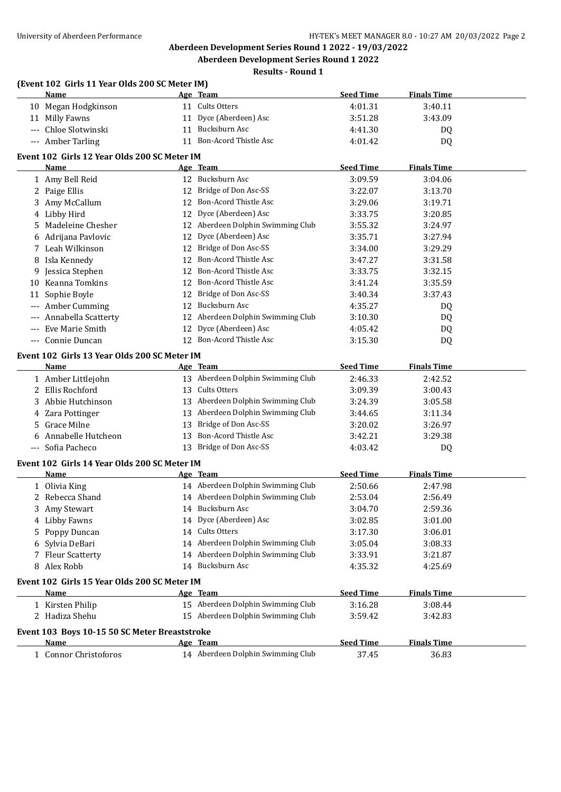**Results - Round 1**

|     | (Event 102 Girls 11 Year Olds 200 SC Meter IM)       |    |                                   |                  |                    |  |
|-----|------------------------------------------------------|----|-----------------------------------|------------------|--------------------|--|
|     | Name                                                 |    | Age Team                          | <b>Seed Time</b> | <b>Finals Time</b> |  |
|     | 10 Megan Hodgkinson                                  |    | 11 Cults Otters                   | 4:01.31          | 3:40.11            |  |
|     | 11 Milly Fawns                                       |    | 11 Dyce (Aberdeen) Asc            | 3:51.28          | 3:43.09            |  |
|     | --- Chloe Slotwinski                                 |    | 11 Bucksburn Asc                  | 4:41.30          | DQ                 |  |
|     | --- Amber Tarling                                    |    | 11 Bon-Acord Thistle Asc          | 4:01.42          | DQ                 |  |
|     | Event 102 Girls 12 Year Olds 200 SC Meter IM         |    |                                   |                  |                    |  |
|     | Name                                                 |    | Age Team                          | <b>Seed Time</b> | <b>Finals Time</b> |  |
|     | 1 Amy Bell Reid                                      |    | 12 Bucksburn Asc                  | 3:09.59          | 3:04.06            |  |
|     | 2 Paige Ellis                                        |    | 12 Bridge of Don Asc-SS           | 3:22.07          | 3:13.70            |  |
|     | 3 Amy McCallum                                       |    | 12 Bon-Acord Thistle Asc          | 3:29.06          | 3:19.71            |  |
|     | 4 Libby Hird                                         |    | 12 Dyce (Aberdeen) Asc            | 3:33.75          | 3:20.85            |  |
| 5.  | Madeleine Chesher                                    |    | 12 Aberdeen Dolphin Swimming Club | 3:55.32          | 3:24.97            |  |
|     | 6 Adrijana Pavlovic                                  | 12 | Dyce (Aberdeen) Asc               | 3:35.71          | 3:27.94            |  |
|     | 7 Leah Wilkinson                                     |    | 12 Bridge of Don Asc-SS           | 3:34.00          | 3:29.29            |  |
|     | 8 Isla Kennedy                                       | 12 | Bon-Acord Thistle Asc             | 3:47.27          | 3:31.58            |  |
|     | 9 Jessica Stephen                                    | 12 | Bon-Acord Thistle Asc             | 3:33.75          | 3:32.15            |  |
|     | 10 Keanna Tomkins                                    | 12 | Bon-Acord Thistle Asc             | 3:41.24          | 3:35.59            |  |
|     | 11 Sophie Boyle                                      | 12 | Bridge of Don Asc-SS              | 3:40.34          | 3:37.43            |  |
| --- | Amber Cumming                                        |    | 12 Bucksburn Asc                  | 4:35.27          | DQ                 |  |
|     | Annabella Scatterty                                  |    | 12 Aberdeen Dolphin Swimming Club | 3:10.30          | DQ                 |  |
|     | Eve Marie Smith                                      | 12 | Dyce (Aberdeen) Asc               | 4:05.42          | DQ                 |  |
|     | --- Connie Duncan                                    |    | 12 Bon-Acord Thistle Asc          | 3:15.30          | DQ                 |  |
|     | Event 102 Girls 13 Year Olds 200 SC Meter IM<br>Name |    | Age Team                          | <b>Seed Time</b> | <b>Finals Time</b> |  |
|     | 1 Amber Littlejohn                                   |    | 13 Aberdeen Dolphin Swimming Club | 2:46.33          | 2:42.52            |  |
|     | 2 Ellis Rochford                                     |    | 13 Cults Otters                   | 3:09.39          | 3:00.43            |  |
|     | 3 Abbie Hutchinson                                   |    | 13 Aberdeen Dolphin Swimming Club | 3:24.39          | 3:05.58            |  |
|     | 4 Zara Pottinger                                     |    | 13 Aberdeen Dolphin Swimming Club | 3:44.65          | 3:11.34            |  |
|     | 5 Grace Milne                                        |    | 13 Bridge of Don Asc-SS           | 3:20.02          | 3:26.97            |  |
|     | 6 Annabelle Hutcheon                                 |    | 13 Bon-Acord Thistle Asc          | 3:42.21          | 3:29.38            |  |
|     | --- Sofia Pacheco                                    |    | 13 Bridge of Don Asc-SS           | 4:03.42          | DQ                 |  |
|     | Event 102 Girls 14 Year Olds 200 SC Meter IM         |    |                                   |                  |                    |  |
|     | <b>Name</b>                                          |    | Age Team                          | <b>Seed Time</b> | <b>Finals Time</b> |  |
|     | 1 Olivia King                                        |    | 14 Aberdeen Dolphin Swimming Club | 2:50.66          | 2:47.98            |  |
|     | 2 Rebecca Shand                                      |    | 14 Aberdeen Dolphin Swimming Club | 2:53.04          | 2:56.49            |  |
|     | 3 Amy Stewart                                        |    | 14 Bucksburn Asc                  | 3:04.70          | 2:59.36            |  |
|     | 4 Libby Fawns                                        |    | 14 Dyce (Aberdeen) Asc            | 3:02.85          | 3:01.00            |  |
|     | 5 Poppy Duncan                                       |    | 14 Cults Otters                   | 3:17.30          | 3:06.01            |  |
|     | 6 Sylvia DeBari                                      |    | 14 Aberdeen Dolphin Swimming Club | 3:05.04          | 3:08.33            |  |
|     | 7 Fleur Scatterty                                    |    | 14 Aberdeen Dolphin Swimming Club | 3:33.91          | 3:21.87            |  |
|     | 8 Alex Robb                                          |    | 14 Bucksburn Asc                  | 4:35.32          | 4:25.69            |  |
|     | Event 102 Girls 15 Year Olds 200 SC Meter IM         |    |                                   |                  |                    |  |
|     | <b>Name</b>                                          |    | Age Team                          | <b>Seed Time</b> | <b>Finals Time</b> |  |
|     | 1 Kirsten Philip                                     |    | 15 Aberdeen Dolphin Swimming Club | 3:16.28          | 3:08.44            |  |
|     | 2 Hadiza Shehu                                       |    | 15 Aberdeen Dolphin Swimming Club | 3:59.42          | 3:42.83            |  |
|     | Event 103 Boys 10-15 50 SC Meter Breaststroke        |    |                                   |                  |                    |  |
|     | Name                                                 |    | Age Team                          | <b>Seed Time</b> | <b>Finals Time</b> |  |
|     | 1 Connor Christoforos                                |    | 14 Aberdeen Dolphin Swimming Club | 37.45            | 36.83              |  |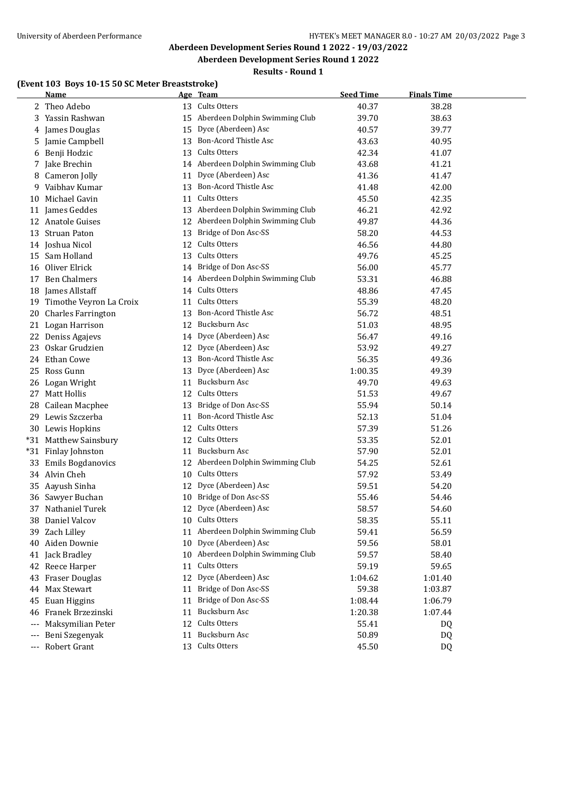## **Results - Round 1**

#### **(Event 103 Boys 10-15 50 SC Meter Breaststroke)**

|       | Name                       |    | Age Team                          | <b>Seed Time</b> | <b>Finals Time</b> |  |
|-------|----------------------------|----|-----------------------------------|------------------|--------------------|--|
|       | 2 Theo Adebo               |    | 13 Cults Otters                   | 40.37            | 38.28              |  |
|       | 3 Yassin Rashwan           |    | 15 Aberdeen Dolphin Swimming Club | 39.70            | 38.63              |  |
|       | 4 James Douglas            | 15 | Dyce (Aberdeen) Asc               | 40.57            | 39.77              |  |
| 5     | Jamie Campbell             | 13 | Bon-Acord Thistle Asc             | 43.63            | 40.95              |  |
|       | 6 Benji Hodzic             |    | 13 Cults Otters                   | 42.34            | 41.07              |  |
|       | 7 Jake Brechin             |    | 14 Aberdeen Dolphin Swimming Club | 43.68            | 41.21              |  |
|       | 8 Cameron Jolly            | 11 | Dyce (Aberdeen) Asc               | 41.36            | 41.47              |  |
| 9.    | Vaibhav Kumar              |    | 13 Bon-Acord Thistle Asc          | 41.48            | 42.00              |  |
|       | 10 Michael Gavin           |    | 11 Cults Otters                   | 45.50            | 42.35              |  |
|       | 11 James Geddes            |    | 13 Aberdeen Dolphin Swimming Club | 46.21            | 42.92              |  |
|       | 12 Anatole Guises          |    | 12 Aberdeen Dolphin Swimming Club | 49.87            | 44.36              |  |
|       | 13 Struan Paton            |    | 13 Bridge of Don Asc-SS           | 58.20            | 44.53              |  |
|       | 14 Joshua Nicol            |    | 12 Cults Otters                   | 46.56            | 44.80              |  |
|       | 15 Sam Holland             |    | 13 Cults Otters                   | 49.76            | 45.25              |  |
|       | 16 Oliver Elrick           |    | 14 Bridge of Don Asc-SS           | 56.00            | 45.77              |  |
|       | 17 Ben Chalmers            |    | 14 Aberdeen Dolphin Swimming Club | 53.31            | 46.88              |  |
|       | 18 James Allstaff          |    | 14 Cults Otters                   | 48.86            | 47.45              |  |
|       | 19 Timothe Veyron La Croix |    | 11 Cults Otters                   | 55.39            | 48.20              |  |
|       | 20 Charles Farrington      |    | 13 Bon-Acord Thistle Asc          | 56.72            | 48.51              |  |
|       | 21 Logan Harrison          |    | 12 Bucksburn Asc                  | 51.03            | 48.95              |  |
|       | 22 Deniss Agajevs          |    | 14 Dyce (Aberdeen) Asc            | 56.47            | 49.16              |  |
|       | 23 Oskar Grudzien          |    | 12 Dyce (Aberdeen) Asc            | 53.92            | 49.27              |  |
|       | 24 Ethan Cowe              |    | 13 Bon-Acord Thistle Asc          | 56.35            | 49.36              |  |
|       | 25 Ross Gunn               |    | 13 Dyce (Aberdeen) Asc            | 1:00.35          | 49.39              |  |
|       | 26 Logan Wright            |    | 11 Bucksburn Asc                  | 49.70            | 49.63              |  |
|       | 27 Matt Hollis             |    | 12 Cults Otters                   | 51.53            | 49.67              |  |
| 28    | Cailean Macphee            |    | 13 Bridge of Don Asc-SS           | 55.94            | 50.14              |  |
|       | 29 Lewis Szczerba          | 11 | Bon-Acord Thistle Asc             | 52.13            | 51.04              |  |
|       | 30 Lewis Hopkins           | 12 | Cults Otters                      | 57.39            | 51.26              |  |
|       | *31 Matthew Sainsbury      | 12 | Cults Otters                      | 53.35            | 52.01              |  |
|       | *31 Finlay Johnston        | 11 | Bucksburn Asc                     | 57.90            | 52.01              |  |
|       | 33 Emils Bogdanovics       |    | 12 Aberdeen Dolphin Swimming Club | 54.25            | 52.61              |  |
|       | 34 Alvin Cheh              |    | 10 Cults Otters                   | 57.92            | 53.49              |  |
|       | 35 Aayush Sinha            | 12 | Dyce (Aberdeen) Asc               | 59.51            | 54.20              |  |
|       | 36 Sawyer Buchan           |    | 10 Bridge of Don Asc-SS           | 55.46            | 54.46              |  |
|       | 37 Nathaniel Turek         |    | 12 Dyce (Aberdeen) Asc            | 58.57            | 54.60              |  |
|       | 38 Daniel Valcov           |    | 10 Cults Otters                   | 58.35            | 55.11              |  |
|       | 39 Zach Lilley             | 11 | Aberdeen Dolphin Swimming Club    | 59.41            | 56.59              |  |
|       | 40 Aiden Downie            | 10 | Dyce (Aberdeen) Asc               | 59.56            | 58.01              |  |
|       | 41 Jack Bradley            |    | 10 Aberdeen Dolphin Swimming Club | 59.57            | 58.40              |  |
|       | 42 Reece Harper            | 11 | Cults Otters                      | 59.19            | 59.65              |  |
|       | 43 Fraser Douglas          | 12 | Dyce (Aberdeen) Asc               | 1:04.62          | 1:01.40            |  |
|       | 44 Max Stewart             | 11 | Bridge of Don Asc-SS              | 59.38            | 1:03.87            |  |
| 45    | Euan Higgins               | 11 | Bridge of Don Asc-SS              | 1:08.44          | 1:06.79            |  |
| 46    | Franek Brzezinski          | 11 | Bucksburn Asc                     | 1:20.38          | 1:07.44            |  |
| $---$ | Maksymilian Peter          | 12 | Cults Otters                      | 55.41            | DQ                 |  |
|       | Beni Szegenyak             | 11 | Bucksburn Asc                     | 50.89            | DQ                 |  |
| ---   | Robert Grant               |    | 13 Cults Otters                   | 45.50            | DQ                 |  |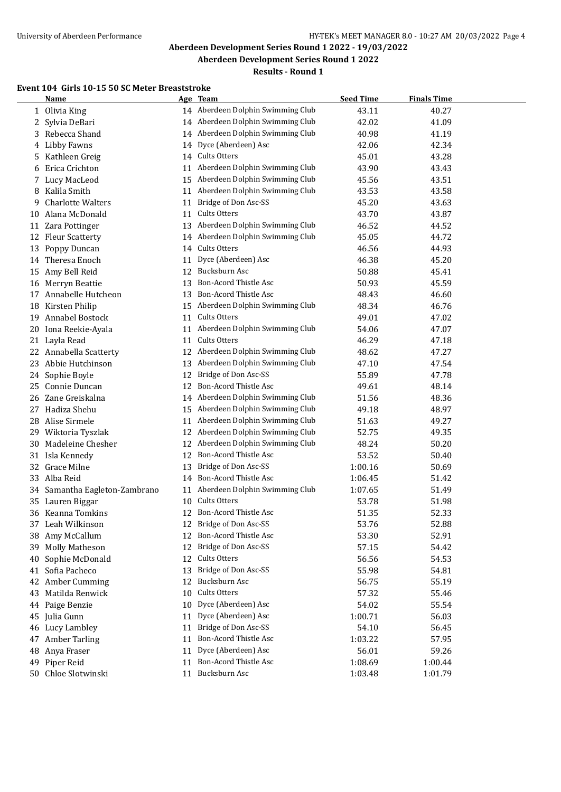## **Results - Round 1**

#### **Event 104 Girls 10-15 50 SC Meter Breaststroke**

|    | <b>Name</b>                |    | Age Team                          | <b>Seed Time</b> | <b>Finals Time</b> |  |
|----|----------------------------|----|-----------------------------------|------------------|--------------------|--|
| 1  | Olivia King                |    | 14 Aberdeen Dolphin Swimming Club | 43.11            | 40.27              |  |
| 2  | Sylvia DeBari              |    | 14 Aberdeen Dolphin Swimming Club | 42.02            | 41.09              |  |
| 3  | Rebecca Shand              |    | 14 Aberdeen Dolphin Swimming Club | 40.98            | 41.19              |  |
| 4  | <b>Libby Fawns</b>         | 14 | Dyce (Aberdeen) Asc               | 42.06            | 42.34              |  |
| 5  | Kathleen Greig             |    | 14 Cults Otters                   | 45.01            | 43.28              |  |
| 6  | Erica Crichton             | 11 | Aberdeen Dolphin Swimming Club    | 43.90            | 43.43              |  |
| 7  | Lucy MacLeod               | 15 | Aberdeen Dolphin Swimming Club    | 45.56            | 43.51              |  |
| 8  | Kalila Smith               |    | 11 Aberdeen Dolphin Swimming Club | 43.53            | 43.58              |  |
| 9  | <b>Charlotte Walters</b>   | 11 | Bridge of Don Asc-SS              | 45.20            | 43.63              |  |
| 10 | Alana McDonald             |    | 11 Cults Otters                   | 43.70            | 43.87              |  |
|    | 11 Zara Pottinger          |    | 13 Aberdeen Dolphin Swimming Club | 46.52            | 44.52              |  |
|    | 12 Fleur Scatterty         |    | 14 Aberdeen Dolphin Swimming Club | 45.05            | 44.72              |  |
| 13 | Poppy Duncan               |    | 14 Cults Otters                   | 46.56            | 44.93              |  |
|    | 14 Theresa Enoch           | 11 | Dyce (Aberdeen) Asc               | 46.38            | 45.20              |  |
| 15 | Amy Bell Reid              |    | 12 Bucksburn Asc                  | 50.88            | 45.41              |  |
| 16 | Merryn Beattie             | 13 | Bon-Acord Thistle Asc             | 50.93            | 45.59              |  |
| 17 | Annabelle Hutcheon         |    | 13 Bon-Acord Thistle Asc          | 48.43            | 46.60              |  |
| 18 | Kirsten Philip             |    | 15 Aberdeen Dolphin Swimming Club | 48.34            | 46.76              |  |
| 19 | Annabel Bostock            | 11 | Cults Otters                      | 49.01            | 47.02              |  |
| 20 | Iona Reekie-Ayala          | 11 | Aberdeen Dolphin Swimming Club    | 54.06            | 47.07              |  |
|    | 21 Layla Read              | 11 | Cults Otters                      | 46.29            | 47.18              |  |
|    | 22 Annabella Scatterty     |    | 12 Aberdeen Dolphin Swimming Club | 48.62            | 47.27              |  |
|    | 23 Abbie Hutchinson        | 13 | Aberdeen Dolphin Swimming Club    | 47.10            | 47.54              |  |
|    | 24 Sophie Boyle            | 12 | Bridge of Don Asc-SS              | 55.89            | 47.78              |  |
|    | 25 Connie Duncan           | 12 | <b>Bon-Acord Thistle Asc</b>      | 49.61            | 48.14              |  |
|    | 26 Zane Greiskalna         |    | 14 Aberdeen Dolphin Swimming Club | 51.56            | 48.36              |  |
|    | 27 Hadiza Shehu            | 15 | Aberdeen Dolphin Swimming Club    | 49.18            | 48.97              |  |
| 28 | Alise Sirmele              | 11 | Aberdeen Dolphin Swimming Club    | 51.63            | 49.27              |  |
| 29 | Wiktoria Tyszlak           | 12 | Aberdeen Dolphin Swimming Club    | 52.75            | 49.35              |  |
| 30 | Madeleine Chesher          |    | 12 Aberdeen Dolphin Swimming Club | 48.24            | 50.20              |  |
| 31 | Isla Kennedy               | 12 | Bon-Acord Thistle Asc             | 53.52            | 50.40              |  |
| 32 | Grace Milne                | 13 | Bridge of Don Asc-SS              | 1:00.16          | 50.69              |  |
| 33 | Alba Reid                  | 14 | Bon-Acord Thistle Asc             | 1:06.45          | 51.42              |  |
| 34 | Samantha Eagleton-Zambrano | 11 | Aberdeen Dolphin Swimming Club    | 1:07.65          | 51.49              |  |
|    | 35 Lauren Biggar           | 10 | Cults Otters                      | 53.78            | 51.98              |  |
|    | 36 Keanna Tomkins          | 12 | Bon-Acord Thistle Asc             | 51.35            | 52.33              |  |
| 37 | Leah Wilkinson             | 12 | Bridge of Don Asc-SS              | 53.76            | 52.88              |  |
| 38 | Amy McCallum               | 12 | Bon-Acord Thistle Asc             | 53.30            | 52.91              |  |
| 39 | <b>Molly Matheson</b>      | 12 | Bridge of Don Asc-SS              | 57.15            | 54.42              |  |
| 40 | Sophie McDonald            | 12 | Cults Otters                      | 56.56            | 54.53              |  |
|    | 41 Sofia Pacheco           | 13 | Bridge of Don Asc-SS              | 55.98            | 54.81              |  |
|    | 42 Amber Cumming           | 12 | Bucksburn Asc                     | 56.75            | 55.19              |  |
| 43 | Matilda Renwick            | 10 | Cults Otters                      | 57.32            | 55.46              |  |
| 44 | Paige Benzie               | 10 | Dyce (Aberdeen) Asc               | 54.02            | 55.54              |  |
| 45 | Julia Gunn                 | 11 | Dyce (Aberdeen) Asc               | 1:00.71          | 56.03              |  |
| 46 | Lucy Lambley               | 11 | Bridge of Don Asc-SS              | 54.10            | 56.45              |  |
| 47 | <b>Amber Tarling</b>       | 11 | Bon-Acord Thistle Asc             | 1:03.22          | 57.95              |  |
| 48 | Anya Fraser                | 11 | Dyce (Aberdeen) Asc               | 56.01            | 59.26              |  |
| 49 | Piper Reid                 | 11 | Bon-Acord Thistle Asc             | 1:08.69          | 1:00.44            |  |
|    | 50 Chloe Slotwinski        |    | 11 Bucksburn Asc                  | 1:03.48          | 1:01.79            |  |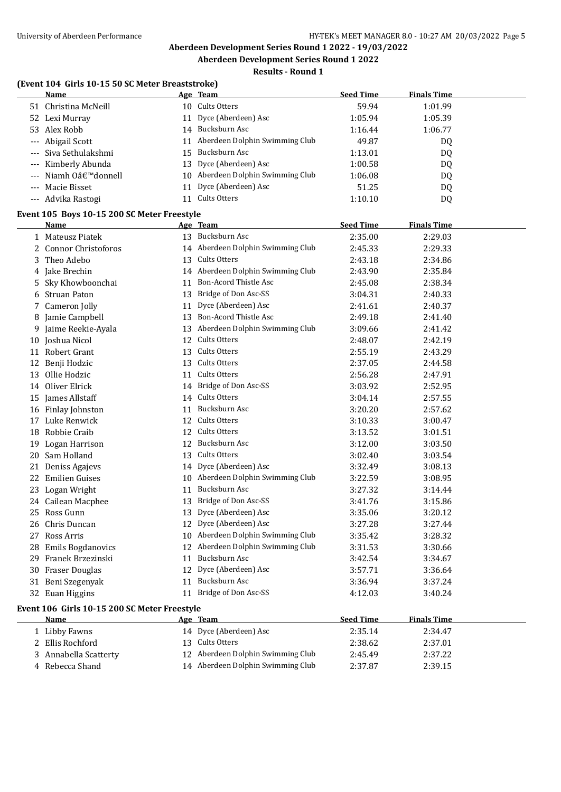#### **Results - Round 1**

## **(Event 104 Girls 10-15 50 SC Meter Breaststroke)**

|    | EVEIL TUT GILLS TUTES SU SU MELEI DI CASISLI UNC |    |                                   |                    |                    |  |
|----|--------------------------------------------------|----|-----------------------------------|--------------------|--------------------|--|
|    | <b>Name</b>                                      |    | Age Team                          | <b>Seed Time</b>   | <b>Finals Time</b> |  |
|    | 51 Christina McNeill                             |    | 10 Cults Otters                   | 59.94              | 1:01.99            |  |
|    | 52 Lexi Murray                                   |    | 11 Dyce (Aberdeen) Asc            | 1:05.94            | 1:05.39            |  |
|    | 53 Alex Robb                                     |    | 14 Bucksburn Asc                  | 1:16.44            | 1:06.77            |  |
|    | --- Abigail Scott                                |    | 11 Aberdeen Dolphin Swimming Club | 49.87              | DQ                 |  |
|    | Siva Sethulakshmi                                |    | 15 Bucksburn Asc                  | 1:13.01            | DQ                 |  |
|    | Kimberly Abunda                                  |    | 13 Dyce (Aberdeen) Asc            | 1:00.58            | DQ                 |  |
|    | Niamh O'donnell                                  |    | 10 Aberdeen Dolphin Swimming Club | 1:06.08            | DQ                 |  |
|    | --- Macie Bisset                                 | 11 | Dyce (Aberdeen) Asc               | 51.25              | DQ                 |  |
|    | --- Advika Rastogi                               |    | 11 Cults Otters                   | 1:10.10            | DQ                 |  |
|    | Event 105 Boys 10-15 200 SC Meter Freestyle      |    |                                   |                    |                    |  |
|    | Name                                             |    | Age Team                          | <b>Seed Time</b>   | <b>Finals Time</b> |  |
|    | 1 Mateusz Piatek                                 |    | 13 Bucksburn Asc                  | 2:35.00            | 2:29.03            |  |
|    | <b>Connor Christoforos</b>                       |    | 14 Aberdeen Dolphin Swimming Club | 2:45.33            | 2:29.33            |  |
| 3  | Theo Adebo                                       |    | 13 Cults Otters                   | 2:43.18            | 2:34.86            |  |
| 4  | Jake Brechin                                     |    | 14 Aberdeen Dolphin Swimming Club | 2:43.90            | 2:35.84            |  |
| 5  | Sky Khowboonchai                                 | 11 | Bon-Acord Thistle Asc             | 2:45.08            | 2:38.34            |  |
| 6  | <b>Struan Paton</b>                              | 13 | Bridge of Don Asc-SS              | 3:04.31            | 2:40.33            |  |
| 7  | Cameron Jolly                                    | 11 | Dyce (Aberdeen) Asc               | 2:41.61            | 2:40.37            |  |
| 8  | Jamie Campbell                                   | 13 | Bon-Acord Thistle Asc             | 2:49.18            | 2:41.40            |  |
| 9  | Jaime Reekie-Ayala                               |    | 13 Aberdeen Dolphin Swimming Club | 3:09.66            | 2:41.42            |  |
|    | 10 Joshua Nicol                                  | 12 | Cults Otters                      | 2:48.07            | 2:42.19            |  |
|    | 11 Robert Grant                                  | 13 | Cults Otters                      | 2:55.19            | 2:43.29            |  |
| 12 | Benji Hodzic                                     | 13 | Cults Otters                      | 2:37.05            | 2:44.58            |  |
|    | 13 Ollie Hodzic                                  |    | 11 Cults Otters                   | 2:56.28            | 2:47.91            |  |
|    | 14 Oliver Elrick                                 |    | 14 Bridge of Don Asc-SS           | 3:03.92            | 2:52.95            |  |
|    | 15 James Allstaff                                |    | 14 Cults Otters                   | 3:04.14            | 2:57.55            |  |
|    |                                                  | 11 | Bucksburn Asc                     | 3:20.20            | 2:57.62            |  |
|    | 16 Finlay Johnston<br>17 Luke Renwick            |    | 12 Cults Otters                   | 3:10.33            | 3:00.47            |  |
|    | 18 Robbie Craib                                  |    | 12 Cults Otters                   | 3:13.52            |                    |  |
|    |                                                  |    | 12 Bucksburn Asc                  |                    | 3:01.51            |  |
| 19 | Logan Harrison<br>20 Sam Holland                 |    | 13 Cults Otters                   | 3:12.00            | 3:03.50            |  |
|    |                                                  |    | 14 Dyce (Aberdeen) Asc            | 3:02.40            | 3:03.54            |  |
| 21 | Deniss Agajevs                                   |    | 10 Aberdeen Dolphin Swimming Club | 3:32.49            | 3:08.13            |  |
|    | 22 Emilien Guises                                |    | Bucksburn Asc                     | 3:22.59<br>3:27.32 | 3:08.95            |  |
|    | 23 Logan Wright                                  | 11 | 13 Bridge of Don Asc-SS           |                    | 3:14.44            |  |
|    | 24 Cailean Macphee                               |    | Dyce (Aberdeen) Asc               | 3:41.76            | 3:15.86            |  |
|    | 25 Ross Gunn                                     | 13 | 12 Dyce (Aberdeen) Asc            | 3:35.06            | 3:20.12            |  |
| 26 | Chris Duncan                                     |    | Aberdeen Dolphin Swimming Club    | 3:27.28            | 3:27.44            |  |
|    | 27 Ross Arris                                    | 10 |                                   | 3:35.42            | 3:28.32            |  |
| 28 | <b>Emils Bogdanovics</b>                         | 12 | Aberdeen Dolphin Swimming Club    | 3:31.53            | 3:30.66            |  |
| 29 | Franek Brzezinski                                | 11 | Bucksburn Asc                     | 3:42.54            | 3:34.67            |  |
|    | 30 Fraser Douglas                                | 12 | Dyce (Aberdeen) Asc               | 3:57.71            | 3:36.64            |  |
|    | 31 Beni Szegenyak                                | 11 | Bucksburn Asc                     | 3:36.94            | 3:37.24            |  |
|    | 32 Euan Higgins                                  |    | 11 Bridge of Don Asc-SS           | 4:12.03            | 3:40.24            |  |
|    | Event 106 Girls 10-15 200 SC Meter Freestyle     |    |                                   |                    |                    |  |
|    | Name                                             |    | Age Team                          | <b>Seed Time</b>   | <b>Finals Time</b> |  |
|    | 1 Libby Fawns                                    |    | 14 Dyce (Aberdeen) Asc            | 2:35.14            | 2:34.47            |  |
|    | 2 Ellis Rochford                                 |    | 13 Cults Otters                   | 2:38.62            | 2:37.01            |  |
| 3  | Annabella Scatterty                              |    | 12 Aberdeen Dolphin Swimming Club | 2:45.49            | 2:37.22            |  |
|    | 4 Rebecca Shand                                  |    | 14 Aberdeen Dolphin Swimming Club | 2:37.87            | 2:39.15            |  |
|    |                                                  |    |                                   |                    |                    |  |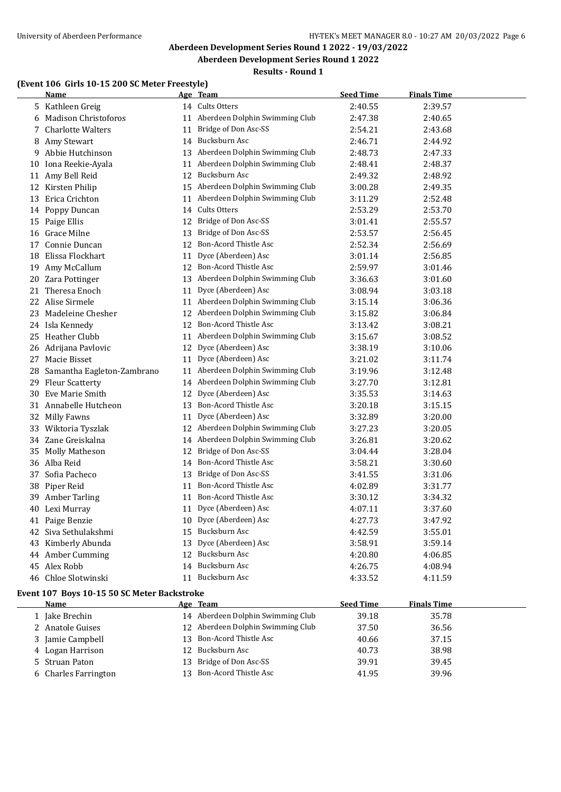## **Results - Round 1**

#### **(Event 106 Girls 10-15 200 SC Meter Freestyle)**

|    | <b>Name</b>                                         |    | Age Team                          | <b>Seed Time</b> | <b>Finals Time</b> |  |
|----|-----------------------------------------------------|----|-----------------------------------|------------------|--------------------|--|
|    | 5 Kathleen Greig                                    |    | 14 Cults Otters                   | 2:40.55          | 2:39.57            |  |
| 6  | <b>Madison Christoforos</b>                         | 11 | Aberdeen Dolphin Swimming Club    | 2:47.38          | 2:40.65            |  |
| 7. | <b>Charlotte Walters</b>                            | 11 | Bridge of Don Asc-SS              | 2:54.21          | 2:43.68            |  |
|    | 8 Amy Stewart                                       |    | 14 Bucksburn Asc                  | 2:46.71          | 2:44.92            |  |
| 9. | Abbie Hutchinson                                    |    | 13 Aberdeen Dolphin Swimming Club | 2:48.73          | 2:47.33            |  |
| 10 | Iona Reekie-Ayala                                   | 11 | Aberdeen Dolphin Swimming Club    | 2:48.41          | 2:48.37            |  |
|    | 11 Amy Bell Reid                                    |    | 12 Bucksburn Asc                  | 2:49.32          | 2:48.92            |  |
|    | 12 Kirsten Philip                                   |    | 15 Aberdeen Dolphin Swimming Club | 3:00.28          | 2:49.35            |  |
|    | 13 Erica Crichton                                   |    | 11 Aberdeen Dolphin Swimming Club | 3:11.29          | 2:52.48            |  |
| 14 | Poppy Duncan                                        |    | 14 Cults Otters                   | 2:53.29          | 2:53.70            |  |
|    | 15 Paige Ellis                                      |    | 12 Bridge of Don Asc-SS           | 3:01.41          | 2:55.57            |  |
| 16 | Grace Milne                                         | 13 | Bridge of Don Asc-SS              | 2:53.57          | 2:56.45            |  |
|    | 17 Connie Duncan                                    |    | 12 Bon-Acord Thistle Asc          | 2:52.34          | 2:56.69            |  |
| 18 | Elissa Flockhart                                    | 11 | Dyce (Aberdeen) Asc               | 3:01.14          | 2:56.85            |  |
|    | 19 Amy McCallum                                     |    | 12 Bon-Acord Thistle Asc          | 2:59.97          | 3:01.46            |  |
|    | 20 Zara Pottinger                                   |    | 13 Aberdeen Dolphin Swimming Club | 3:36.63          | 3:01.60            |  |
|    | 21 Theresa Enoch                                    | 11 | Dyce (Aberdeen) Asc               | 3:08.94          | 3:03.18            |  |
|    | 22 Alise Sirmele                                    |    | 11 Aberdeen Dolphin Swimming Club | 3:15.14          | 3:06.36            |  |
|    | 23 Madeleine Chesher                                |    | 12 Aberdeen Dolphin Swimming Club | 3:15.82          | 3:06.84            |  |
|    | 24 Isla Kennedy                                     |    | 12 Bon-Acord Thistle Asc          | 3:13.42          | 3:08.21            |  |
|    | 25 Heather Clubb                                    |    | 11 Aberdeen Dolphin Swimming Club | 3:15.67          | 3:08.52            |  |
|    | 26 Adrijana Pavlovic                                |    | 12 Dyce (Aberdeen) Asc            | 3:38.19          | 3:10.06            |  |
|    | 27 Macie Bisset                                     |    | 11 Dyce (Aberdeen) Asc            | 3:21.02          | 3:11.74            |  |
| 28 | Samantha Eagleton-Zambrano                          |    | 11 Aberdeen Dolphin Swimming Club | 3:19.96          | 3:12.48            |  |
|    | 29 Fleur Scatterty                                  |    | 14 Aberdeen Dolphin Swimming Club | 3:27.70          | 3:12.81            |  |
| 30 | Eve Marie Smith                                     | 12 | Dyce (Aberdeen) Asc               | 3:35.53          | 3:14.63            |  |
|    | 31 Annabelle Hutcheon                               | 13 | Bon-Acord Thistle Asc             | 3:20.18          | 3:15.15            |  |
| 32 | Milly Fawns                                         | 11 | Dyce (Aberdeen) Asc               | 3:32.89          | 3:20.00            |  |
|    | 33 Wiktoria Tyszlak                                 | 12 | Aberdeen Dolphin Swimming Club    | 3:27.23          | 3:20.05            |  |
|    | 34 Zane Greiskalna                                  |    | 14 Aberdeen Dolphin Swimming Club | 3:26.81          | 3:20.62            |  |
| 35 | <b>Molly Matheson</b>                               | 12 | Bridge of Don Asc-SS              | 3:04.44          | 3:28.04            |  |
|    | 36 Alba Reid                                        | 14 | <b>Bon-Acord Thistle Asc</b>      | 3:58.21          | 3:30.60            |  |
| 37 | Sofia Pacheco                                       | 13 | Bridge of Don Asc-SS              | 3:41.55          | 3:31.06            |  |
|    | 38 Piper Reid                                       | 11 | Bon-Acord Thistle Asc             | 4:02.89          | 3:31.77            |  |
|    | 39 Amber Tarling                                    |    | 11 Bon-Acord Thistle Asc          | 3:30.12          | 3:34.32            |  |
|    | 40 Lexi Murray                                      |    | 11 Dyce (Aberdeen) Asc            | 4:07.11          | 3:37.60            |  |
|    | 41 Paige Benzie                                     |    | 10 Dyce (Aberdeen) Asc            | 4:27.73          | 3:47.92            |  |
|    | 42 Siva Sethulakshmi                                |    | 15 Bucksburn Asc                  | 4:42.59          | 3:55.01            |  |
|    | 43 Kimberly Abunda                                  |    | 13 Dyce (Aberdeen) Asc            | 3:58.91          | 3:59.14            |  |
|    | 44 Amber Cumming                                    |    | 12 Bucksburn Asc                  | 4:20.80          | 4:06.85            |  |
|    | 45 Alex Robb                                        |    | 14 Bucksburn Asc                  | 4:26.75          | 4:08.94            |  |
|    | 46 Chloe Slotwinski                                 |    | 11 Bucksburn Asc                  | 4:33.52          | 4:11.59            |  |
|    |                                                     |    |                                   |                  |                    |  |
|    | Event 107 Boys 10-15 50 SC Meter Backstroke<br>Name |    | <u>Age Team</u>                   | <b>Seed Time</b> | <b>Finals Time</b> |  |
|    | 1 Jake Brechin                                      |    | 14 Aberdeen Dolphin Swimming Club | 39.18            | 35.78              |  |
|    | 2 Anatole Guises                                    |    | 12 Aberdeen Dolphin Swimming Club | 37.50            | 36.56              |  |
|    | 3 Jamie Campbell                                    |    | 13 Bon-Acord Thistle Asc          | 40.66            | 37.15              |  |
|    | 4 Logan Harrison                                    |    | 12 Bucksburn Asc                  | 40.73            | 38.98              |  |
|    | 5 Struan Paton                                      |    | 13 Bridge of Don Asc-SS           | 39.91            | 39.45              |  |
|    | 6 Charles Farrington                                |    | 13 Bon-Acord Thistle Asc          | 41.95            | 39.96              |  |
|    |                                                     |    |                                   |                  |                    |  |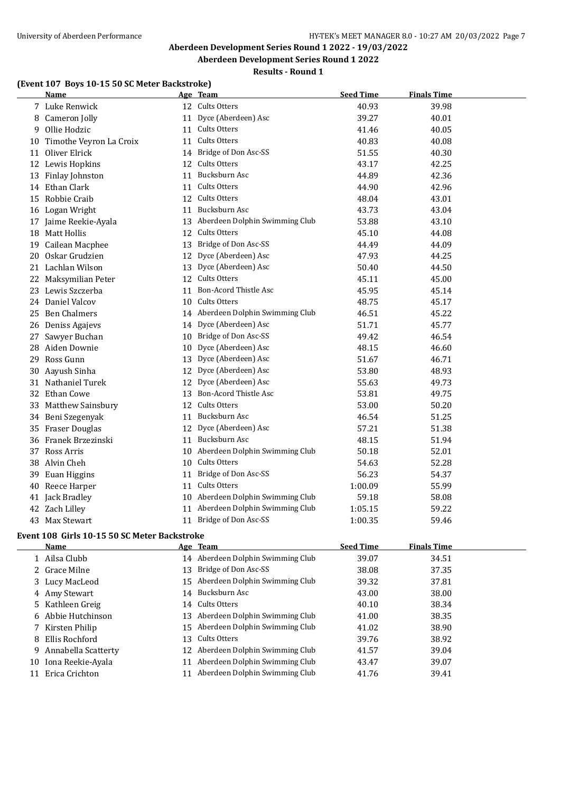#### **Results - Round 1**

## **(Event 107 Boys 10-15 50 SC Meter Backstroke)**

|    | Name                       |    | Age Team                          | <b>Seed Time</b> | <b>Finals Time</b> |
|----|----------------------------|----|-----------------------------------|------------------|--------------------|
|    | 7 Luke Renwick             |    | 12 Cults Otters                   | 40.93            | 39.98              |
|    | 8 Cameron Jolly            | 11 | Dyce (Aberdeen) Asc               | 39.27            | 40.01              |
|    | 9 Ollie Hodzic             | 11 | Cults Otters                      | 41.46            | 40.05              |
|    | 10 Timothe Veyron La Croix | 11 | Cults Otters                      | 40.83            | 40.08              |
| 11 | Oliver Elrick              |    | 14 Bridge of Don Asc-SS           | 51.55            | 40.30              |
|    | 12 Lewis Hopkins           | 12 | Cults Otters                      | 43.17            | 42.25              |
|    | 13 Finlay Johnston         |    | 11 Bucksburn Asc                  | 44.89            | 42.36              |
|    | 14 Ethan Clark             | 11 | Cults Otters                      | 44.90            | 42.96              |
|    | 15 Robbie Craib            |    | 12 Cults Otters                   | 48.04            | 43.01              |
|    | 16 Logan Wright            | 11 | Bucksburn Asc                     | 43.73            | 43.04              |
|    | 17 Jaime Reekie-Ayala      |    | 13 Aberdeen Dolphin Swimming Club | 53.88            | 43.10              |
|    | 18 Matt Hollis             |    | 12 Cults Otters                   | 45.10            | 44.08              |
|    | 19 Cailean Macphee         |    | 13 Bridge of Don Asc-SS           | 44.49            | 44.09              |
|    | 20 Oskar Grudzien          |    | 12 Dyce (Aberdeen) Asc            | 47.93            | 44.25              |
|    | 21 Lachlan Wilson          | 13 | Dyce (Aberdeen) Asc               | 50.40            | 44.50              |
|    | 22 Maksymilian Peter       |    | 12 Cults Otters                   | 45.11            | 45.00              |
|    | 23 Lewis Szczerba          | 11 | Bon-Acord Thistle Asc             | 45.95            | 45.14              |
|    | 24 Daniel Valcov           |    | 10 Cults Otters                   | 48.75            | 45.17              |
|    | 25 Ben Chalmers            |    | 14 Aberdeen Dolphin Swimming Club | 46.51            | 45.22              |
|    | 26 Deniss Agajevs          |    | 14 Dyce (Aberdeen) Asc            | 51.71            | 45.77              |
| 27 | Sawyer Buchan              |    | 10 Bridge of Don Asc-SS           | 49.42            | 46.54              |
|    | 28 Aiden Downie            |    | 10 Dyce (Aberdeen) Asc            | 48.15            | 46.60              |
|    | 29 Ross Gunn               |    | 13 Dyce (Aberdeen) Asc            | 51.67            | 46.71              |
|    | 30 Aayush Sinha            |    | 12 Dyce (Aberdeen) Asc            | 53.80            | 48.93              |
|    | 31 Nathaniel Turek         |    | 12 Dyce (Aberdeen) Asc            | 55.63            | 49.73              |
|    | 32 Ethan Cowe              |    | 13 Bon-Acord Thistle Asc          | 53.81            | 49.75              |
|    | 33 Matthew Sainsbury       | 12 | <b>Cults Otters</b>               | 53.00            | 50.20              |
|    | 34 Beni Szegenyak          | 11 | Bucksburn Asc                     | 46.54            | 51.25              |
|    | 35 Fraser Douglas          |    | 12 Dyce (Aberdeen) Asc            | 57.21            | 51.38              |
|    | 36 Franek Brzezinski       |    | 11 Bucksburn Asc                  | 48.15            | 51.94              |
|    | 37 Ross Arris              |    | 10 Aberdeen Dolphin Swimming Club | 50.18            | 52.01              |
|    | 38 Alvin Cheh              |    | 10 Cults Otters                   | 54.63            | 52.28              |
|    | 39 Euan Higgins            | 11 | Bridge of Don Asc-SS              | 56.23            | 54.37              |
|    | 40 Reece Harper            | 11 | Cults Otters                      | 1:00.09          | 55.99              |
|    | 41 Jack Bradley            |    | 10 Aberdeen Dolphin Swimming Club | 59.18            | 58.08              |
|    | 42 Zach Lilley             |    | 11 Aberdeen Dolphin Swimming Club | 1:05.15          | 59.22              |
|    | 43 Max Stewart             |    | 11 Bridge of Don Asc-SS           | 1:00.35          | 59.46              |
|    |                            |    |                                   |                  |                    |

#### **Event 108 Girls 10-15 50 SC Meter Backstroke**

|    | Name                 |    | Age Team                          | <b>Seed Time</b> | <b>Finals Time</b> |
|----|----------------------|----|-----------------------------------|------------------|--------------------|
|    | 1 Ailsa Clubb        |    | 14 Aberdeen Dolphin Swimming Club | 39.07            | 34.51              |
|    | 2 Grace Milne        |    | 13 Bridge of Don Asc-SS           | 38.08            | 37.35              |
|    | 3 Lucy MacLeod       |    | 15 Aberdeen Dolphin Swimming Club | 39.32            | 37.81              |
|    | 4 Amy Stewart        |    | 14 Bucksburn Asc                  | 43.00            | 38.00              |
|    | 5 Kathleen Greig     |    | 14 Cults Otters                   | 40.10            | 38.34              |
|    | 6 Abbie Hutchinson   |    | 13 Aberdeen Dolphin Swimming Club | 41.00            | 38.35              |
|    | 7 Kirsten Philip     |    | 15 Aberdeen Dolphin Swimming Club | 41.02            | 38.90              |
|    | 8 Ellis Rochford     |    | 13 Cults Otters                   | 39.76            | 38.92              |
| 9. | Annabella Scatterty  |    | 12 Aberdeen Dolphin Swimming Club | 41.57            | 39.04              |
|    | 10 Iona Reekie-Ayala | 11 | Aberdeen Dolphin Swimming Club    | 43.47            | 39.07              |
|    | Erica Crichton       |    | Aberdeen Dolphin Swimming Club    | 41.76            | 39.41              |
|    |                      |    |                                   |                  |                    |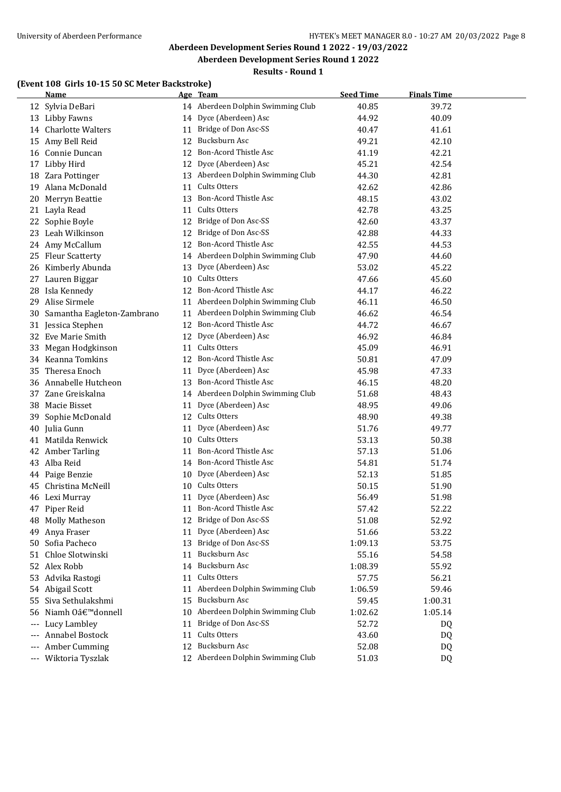# **Aberdeen Development Series Round 1 2022 - 19/03/2022**

## **Aberdeen Development Series Round 1 2022**

## **Results - Round 1**

## **(Event 108 Girls 10-15 50 SC Meter Backstroke)**

|       | <b>Name</b>                    |    | Age Team                          | <b>Seed Time</b> | <b>Finals Time</b> |  |
|-------|--------------------------------|----|-----------------------------------|------------------|--------------------|--|
|       | 12 Sylvia DeBari               |    | 14 Aberdeen Dolphin Swimming Club | 40.85            | 39.72              |  |
|       | 13 Libby Fawns                 | 14 | Dyce (Aberdeen) Asc               | 44.92            | 40.09              |  |
|       | 14 Charlotte Walters           | 11 | Bridge of Don Asc-SS              | 40.47            | 41.61              |  |
| 15    | Amy Bell Reid                  | 12 | Bucksburn Asc                     | 49.21            | 42.10              |  |
| 16    | Connie Duncan                  | 12 | <b>Bon-Acord Thistle Asc</b>      | 41.19            | 42.21              |  |
| 17    | Libby Hird                     | 12 | Dyce (Aberdeen) Asc               | 45.21            | 42.54              |  |
|       | 18 Zara Pottinger              | 13 | Aberdeen Dolphin Swimming Club    | 44.30            | 42.81              |  |
| 19    | Alana McDonald                 | 11 | Cults Otters                      | 42.62            | 42.86              |  |
| 20    | Merryn Beattie                 | 13 | Bon-Acord Thistle Asc             | 48.15            | 43.02              |  |
| 21    | Layla Read                     | 11 | Cults Otters                      | 42.78            | 43.25              |  |
|       | 22 Sophie Boyle                | 12 | Bridge of Don Asc-SS              | 42.60            | 43.37              |  |
|       | 23 Leah Wilkinson              | 12 | Bridge of Don Asc-SS              | 42.88            | 44.33              |  |
|       | 24 Amy McCallum                |    | 12 Bon-Acord Thistle Asc          | 42.55            | 44.53              |  |
| 25    | <b>Fleur Scatterty</b>         |    | 14 Aberdeen Dolphin Swimming Club | 47.90            | 44.60              |  |
| 26    | Kimberly Abunda                | 13 | Dyce (Aberdeen) Asc               | 53.02            | 45.22              |  |
| 27    | Lauren Biggar                  |    | 10 Cults Otters                   | 47.66            | 45.60              |  |
| 28    | Isla Kennedy                   | 12 | <b>Bon-Acord Thistle Asc</b>      | 44.17            | 46.22              |  |
| 29    | Alise Sirmele                  |    | 11 Aberdeen Dolphin Swimming Club | 46.11            | 46.50              |  |
| 30    | Samantha Eagleton-Zambrano     |    | 11 Aberdeen Dolphin Swimming Club | 46.62            | 46.54              |  |
|       | 31 Jessica Stephen             |    | 12 Bon-Acord Thistle Asc          | 44.72            | 46.67              |  |
|       | 32 Eve Marie Smith             |    | 12 Dyce (Aberdeen) Asc            | 46.92            | 46.84              |  |
|       | 33 Megan Hodgkinson            |    | 11 Cults Otters                   | 45.09            | 46.91              |  |
|       | 34 Keanna Tomkins              |    | 12 Bon-Acord Thistle Asc          | 50.81            | 47.09              |  |
| 35    | Theresa Enoch                  |    | 11 Dyce (Aberdeen) Asc            | 45.98            | 47.33              |  |
| 36    | Annabelle Hutcheon             |    | 13 Bon-Acord Thistle Asc          | 46.15            | 48.20              |  |
|       | 37 Zane Greiskalna             |    | 14 Aberdeen Dolphin Swimming Club | 51.68            | 48.43              |  |
| 38    | Macie Bisset                   | 11 | Dyce (Aberdeen) Asc               | 48.95            | 49.06              |  |
| 39    | Sophie McDonald                |    | 12 Cults Otters                   | 48.90            | 49.38              |  |
| 40    | Julia Gunn                     | 11 | Dyce (Aberdeen) Asc               | 51.76            | 49.77              |  |
|       | 41 Matilda Renwick             |    | 10 Cults Otters                   | 53.13            | 50.38              |  |
| 42    | <b>Amber Tarling</b>           | 11 | <b>Bon-Acord Thistle Asc</b>      | 57.13            | 51.06              |  |
| 43    | Alba Reid                      |    | 14 Bon-Acord Thistle Asc          | 54.81            | 51.74              |  |
| 44    | Paige Benzie                   |    | 10 Dyce (Aberdeen) Asc            | 52.13            | 51.85              |  |
| 45    | Christina McNeill              | 10 | Cults Otters                      | 50.15            | 51.90              |  |
|       | 46 Lexi Murray                 |    | 11 Dyce (Aberdeen) Asc            | 56.49            | 51.98              |  |
|       | 47 Piper Reid                  | 11 | Bon-Acord Thistle Asc             | 57.42            | 52.22              |  |
|       | 48 Molly Matheson              |    | 12 Bridge of Don Asc-SS           | 51.08            | 52.92              |  |
| 49    | Anya Fraser                    | 11 | Dyce (Aberdeen) Asc               | 51.66            | 53.22              |  |
|       | 50 Sofia Pacheco               | 13 | Bridge of Don Asc-SS              | 1:09.13          | 53.75              |  |
|       | 51 Chloe Slotwinski            | 11 | Bucksburn Asc                     | 55.16            | 54.58              |  |
|       | 52 Alex Robb                   |    | 14 Bucksburn Asc                  | 1:08.39          | 55.92              |  |
|       | 53 Advika Rastogi              | 11 | Cults Otters                      | 57.75            | 56.21              |  |
|       | 54 Abigail Scott               | 11 | Aberdeen Dolphin Swimming Club    | 1:06.59          | 59.46              |  |
| 55    | Siva Sethulakshmi              | 15 | Bucksburn Asc                     | 59.45            | 1:00.31            |  |
| 56    | Niamh Oâ€ <sup>™</sup> donnell | 10 | Aberdeen Dolphin Swimming Club    | 1:02.62          | 1:05.14            |  |
| $---$ | Lucy Lambley                   | 11 | Bridge of Don Asc-SS              | 52.72            | DQ                 |  |
| $---$ | Annabel Bostock                | 11 | Cults Otters                      | 43.60            | DQ                 |  |
| $---$ | Amber Cumming                  | 12 | Bucksburn Asc                     | 52.08            | DQ                 |  |
|       | --- Wiktoria Tyszlak           |    | 12 Aberdeen Dolphin Swimming Club | 51.03            | DQ                 |  |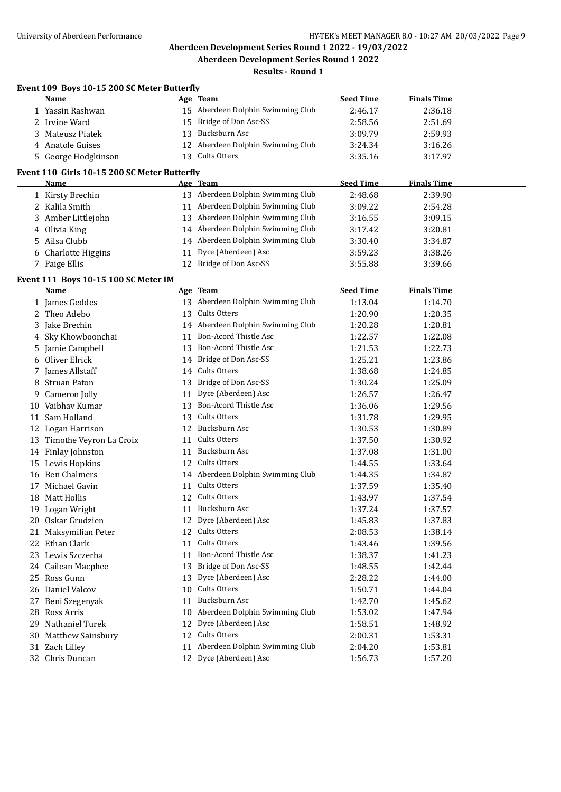## **Results - Round 1**

|    | Event 109 Boys 10-15 200 SC Meter Butterfly  |    |                                   |                  |                    |  |
|----|----------------------------------------------|----|-----------------------------------|------------------|--------------------|--|
|    | Name                                         |    | <u>Age Team</u>                   | <b>Seed Time</b> | <b>Finals Time</b> |  |
|    | 1 Yassin Rashwan                             |    | 15 Aberdeen Dolphin Swimming Club | 2:46.17          | 2:36.18            |  |
|    | 2 Irvine Ward                                | 15 | Bridge of Don Asc-SS              | 2:58.56          | 2:51.69            |  |
| 3. | Mateusz Piatek                               | 13 | Bucksburn Asc                     | 3:09.79          | 2:59.93            |  |
|    | 4 Anatole Guises                             |    | 12 Aberdeen Dolphin Swimming Club | 3:24.34          | 3:16.26            |  |
|    | 5 George Hodgkinson                          |    | 13 Cults Otters                   | 3:35.16          | 3:17.97            |  |
|    | Event 110 Girls 10-15 200 SC Meter Butterfly |    |                                   |                  |                    |  |
|    | Name                                         |    | Age Team                          | <b>Seed Time</b> | <b>Finals Time</b> |  |
|    | 1 Kirsty Brechin                             |    | 13 Aberdeen Dolphin Swimming Club | 2:48.68          | 2:39.90            |  |
|    | 2 Kalila Smith                               |    | 11 Aberdeen Dolphin Swimming Club | 3:09.22          | 2:54.28            |  |
|    | 3 Amber Littlejohn                           | 13 | Aberdeen Dolphin Swimming Club    | 3:16.55          | 3:09.15            |  |
|    |                                              | 14 | Aberdeen Dolphin Swimming Club    | 3:17.42          | 3:20.81            |  |
|    | 4 Olivia King<br>Ailsa Clubb                 |    | 14 Aberdeen Dolphin Swimming Club |                  |                    |  |
| 5. |                                              |    |                                   | 3:30.40          | 3:34.87            |  |
| 6  | <b>Charlotte Higgins</b>                     | 11 | Dyce (Aberdeen) Asc               | 3:59.23          | 3:38.26            |  |
|    | 7 Paige Ellis                                |    | 12 Bridge of Don Asc-SS           | 3:55.88          | 3:39.66            |  |
|    | Event 111 Boys 10-15 100 SC Meter IM         |    |                                   |                  |                    |  |
|    | Name                                         |    | Age Team                          | <b>Seed Time</b> | <b>Finals Time</b> |  |
|    | 1 James Geddes                               | 13 | Aberdeen Dolphin Swimming Club    | 1:13.04          | 1:14.70            |  |
| 2  | Theo Adebo                                   | 13 | Cults Otters                      | 1:20.90          | 1:20.35            |  |
|    | Jake Brechin                                 | 14 | Aberdeen Dolphin Swimming Club    | 1:20.28          | 1:20.81            |  |
|    | Sky Khowboonchai                             | 11 | <b>Bon-Acord Thistle Asc</b>      | 1:22.57          | 1:22.08            |  |
| 5. | Jamie Campbell                               | 13 | <b>Bon-Acord Thistle Asc</b>      | 1:21.53          | 1:22.73            |  |
| 6  | Oliver Elrick                                | 14 | Bridge of Don Asc-SS              | 1:25.21          | 1:23.86            |  |
| 7. | James Allstaff                               |    | 14 Cults Otters                   | 1:38.68          | 1:24.85            |  |
| 8  | <b>Struan Paton</b>                          | 13 | Bridge of Don Asc-SS              | 1:30.24          | 1:25.09            |  |
| 9  | Cameron Jolly                                | 11 | Dyce (Aberdeen) Asc               | 1:26.57          | 1:26.47            |  |
| 10 | Vaibhav Kumar                                | 13 | Bon-Acord Thistle Asc             | 1:36.06          | 1:29.56            |  |
| 11 | Sam Holland                                  | 13 | Cults Otters                      | 1:31.78          | 1:29.95            |  |
|    | 12 Logan Harrison                            |    | 12 Bucksburn Asc                  | 1:30.53          | 1:30.89            |  |
|    | 13 Timothe Veyron La Croix                   | 11 | Cults Otters                      | 1:37.50          | 1:30.92            |  |
|    | 14 Finlay Johnston                           | 11 | Bucksburn Asc                     | 1:37.08          | 1:31.00            |  |
| 15 | Lewis Hopkins                                | 12 | Cults Otters                      | 1:44.55          | 1:33.64            |  |
|    | 16 Ben Chalmers                              |    | 14 Aberdeen Dolphin Swimming Club | 1:44.35          | 1:34.87            |  |
| 17 | Michael Gavin                                | 11 | Cults Otters                      | 1:37.59          | 1:35.40            |  |
| 18 | Matt Hollis                                  |    | 12 Cults Otters                   | 1:43.97          | 1:37.54            |  |
|    | 19 Logan Wright                              |    | 11 Bucksburn Asc                  | 1:37.24          | 1:37.57            |  |
|    | 20 Oskar Grudzien                            | 12 | Dyce (Aberdeen) Asc               | 1:45.83          | 1:37.83            |  |
|    | 21 Maksymilian Peter                         | 12 | Cults Otters                      | 2:08.53          | 1:38.14            |  |
|    | 22 Ethan Clark                               | 11 | Cults Otters                      | 1:43.46          | 1:39.56            |  |
|    | 23 Lewis Szczerba                            | 11 | Bon-Acord Thistle Asc             | 1:38.37          | 1:41.23            |  |
|    | 24 Cailean Macphee                           | 13 | Bridge of Don Asc-SS              | 1:48.55          | 1:42.44            |  |
|    | 25 Ross Gunn                                 | 13 | Dyce (Aberdeen) Asc               | 2:28.22          | 1:44.00            |  |
|    | 26 Daniel Valcov                             | 10 | Cults Otters                      | 1:50.71          | 1:44.04            |  |
| 27 | Beni Szegenyak                               | 11 | Bucksburn Asc                     | 1:42.70          | 1:45.62            |  |
| 28 | Ross Arris                                   | 10 | Aberdeen Dolphin Swimming Club    | 1:53.02          | 1:47.94            |  |
| 29 | Nathaniel Turek                              | 12 | Dyce (Aberdeen) Asc               | 1:58.51          | 1:48.92            |  |
|    | 30 Matthew Sainsbury                         | 12 | Cults Otters                      | 2:00.31          | 1:53.31            |  |
|    | 31 Zach Lilley                               | 11 | Aberdeen Dolphin Swimming Club    | 2:04.20          | 1:53.81            |  |
|    | 32 Chris Duncan                              | 12 | Dyce (Aberdeen) Asc               | 1:56.73          | 1:57.20            |  |
|    |                                              |    |                                   |                  |                    |  |